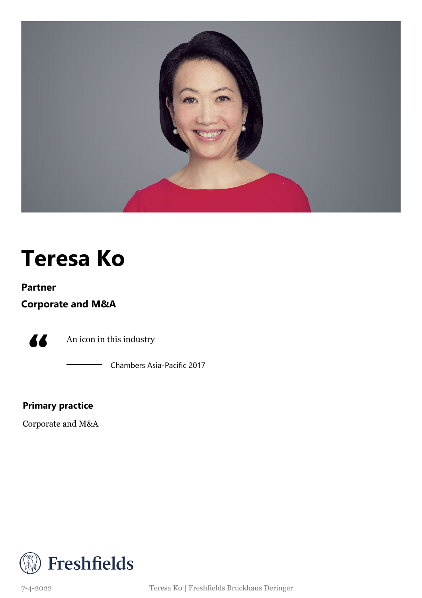

### **Teresa Ko**

#### **Partner**

**Corporate and M&A**



An icon in this industry

Chambers Asia-Pacific 2017

**Primary practice**

Corporate and M&A



7-4-2022 Teresa Ko | Freshfields Bruckhaus Deringer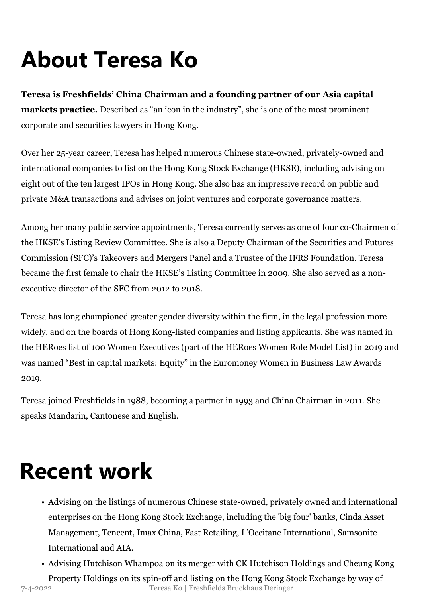# **About Teresa Ko**

**Teresa is Freshfields' China Chairman and a founding partner of our Asia capital markets practice.** Described as "an icon in the industry", she is one of the most prominent corporate and securities lawyers in Hong Kong.

Over her 25-year career, Teresa has helped numerous Chinese state-owned, privately-owned and international companies to list on the Hong Kong Stock Exchange (HKSE), including advising on eight out of the ten largest IPOs in Hong Kong. She also has an impressive record on public and private M&A transactions and advises on joint ventures and corporate governance matters.

Among her many public service appointments, Teresa currently serves as one of four co-Chairmen of the HKSE's Listing Review Committee. She is also a Deputy Chairman of the Securities and Futures Commission (SFC)'s Takeovers and Mergers Panel and a Trustee of the IFRS Foundation. Teresa became the first female to chair the HKSE's Listing Committee in 2009. She also served as a nonexecutive director of the SFC from 2012 to 2018.

Teresa has long championed greater gender diversity within the firm, in the legal profession more widely, and on the boards of Hong Kong-listed companies and listing applicants. She was named in the HERoes list of 100 Women Executives (part of the HERoes Women Role Model List) in 2019 and was named "Best in capital markets: Equity" in the Euromoney Women in Business Law Awards 2019.

Teresa joined Freshfields in 1988, becoming a partner in 1993 and China Chairman in 2011. She speaks Mandarin, Cantonese and English.

### **Recent work**

- Advising on the listings of numerous Chinese state-owned, privately owned and international enterprises on the Hong Kong Stock Exchange, including the 'big four' banks, Cinda Asset Management, Tencent, Imax China, Fast Retailing, L'Occitane International, Samsonite International and AIA.
- Advising Hutchison Whampoa on its merger with CK Hutchison Holdings and Cheung Kong

Property Holdings on its spin-off and listing on the Hong Kong Stock Exchange by way of 7-4-2022 Teresa Ko | Freshfields Bruckhaus Deringer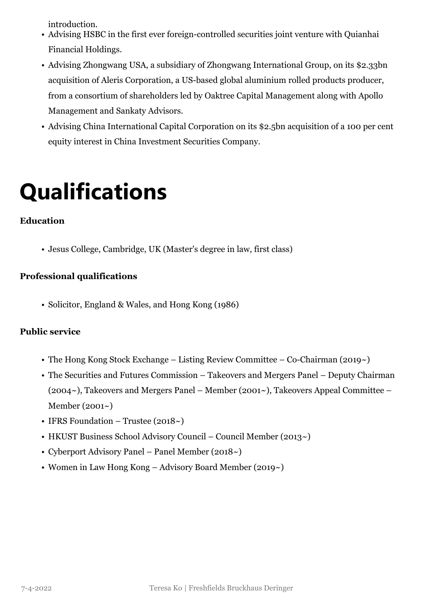introduction.

- Advising HSBC in the first ever foreign-controlled securities joint venture with Quianhai Financial Holdings.
- Advising Zhongwang USA, a subsidiary of Zhongwang International Group, on its \$2.33bn acquisition of Aleris Corporation, a US-based global aluminium rolled products producer, from a consortium of shareholders led by Oaktree Capital Management along with Apollo Management and Sankaty Advisors.
- Advising China International Capital Corporation on its \$2.5bn acquisition of a 100 per cent equity interest in China Investment Securities Company.

## **Qualifications**

#### **Education**

• Jesus College, Cambridge, UK (Master's degree in law, first class)

#### **Professional qualifications**

• Solicitor, England & Wales, and Hong Kong (1986)

#### **Public service**

- The Hong Kong Stock Exchange Listing Review Committee Co-Chairman (2019 $\sim$ )
- The Securities and Futures Commission Takeovers and Mergers Panel Deputy Chairman (2004~), Takeovers and Mergers Panel – Member (2001~), Takeovers Appeal Committee – Member (2001~)
- IFRS Foundation Trustee (2018~)
- HKUST Business School Advisory Council Council Member (2013~)
- Cyberport Advisory Panel Panel Member (2018~)
- Women in Law Hong Kong Advisory Board Member (2019~)